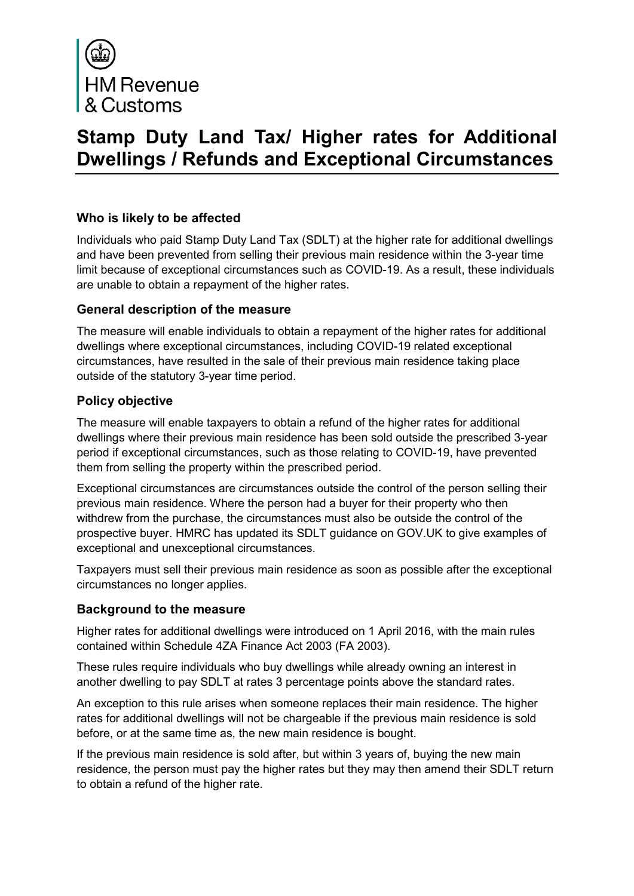

# **Stamp Duty Land Tax/ Higher rates for Additional Dwellings / Refunds and Exceptional Circumstances**

## **Who is likely to be affected**

Individuals who paid Stamp Duty Land Tax (SDLT) at the higher rate for additional dwellings and have been prevented from selling their previous main residence within the 3-year time limit because of exceptional circumstances such as COVID-19. As a result, these individuals are unable to obtain a repayment of the higher rates.

## **General description of the measure**

The measure will enable individuals to obtain a repayment of the higher rates for additional dwellings where exceptional circumstances, including COVID-19 related exceptional circumstances, have resulted in the sale of their previous main residence taking place outside of the statutory 3-year time period.

## **Policy objective**

The measure will enable taxpayers to obtain a refund of the higher rates for additional dwellings where their previous main residence has been sold outside the prescribed 3-year period if exceptional circumstances, such as those relating to COVID-19, have prevented them from selling the property within the prescribed period.

Exceptional circumstances are circumstances outside the control of the person selling their previous main residence. Where the person had a buyer for their property who then withdrew from the purchase, the circumstances must also be outside the control of the prospective buyer. HMRC has updated its SDLT guidance on GOV.UK to give examples of exceptional and unexceptional circumstances.

Taxpayers must sell their previous main residence as soon as possible after the exceptional circumstances no longer applies.

#### **Background to the measure**

Higher rates for additional dwellings were introduced on 1 April 2016, with the main rules contained within Schedule 4ZA Finance Act 2003 (FA 2003).

These rules require individuals who buy dwellings while already owning an interest in another dwelling to pay SDLT at rates 3 percentage points above the standard rates.

An exception to this rule arises when someone replaces their main residence. The higher rates for additional dwellings will not be chargeable if the previous main residence is sold before, or at the same time as, the new main residence is bought.

If the previous main residence is sold after, but within 3 years of, buying the new main residence, the person must pay the higher rates but they may then amend their SDLT return to obtain a refund of the higher rate.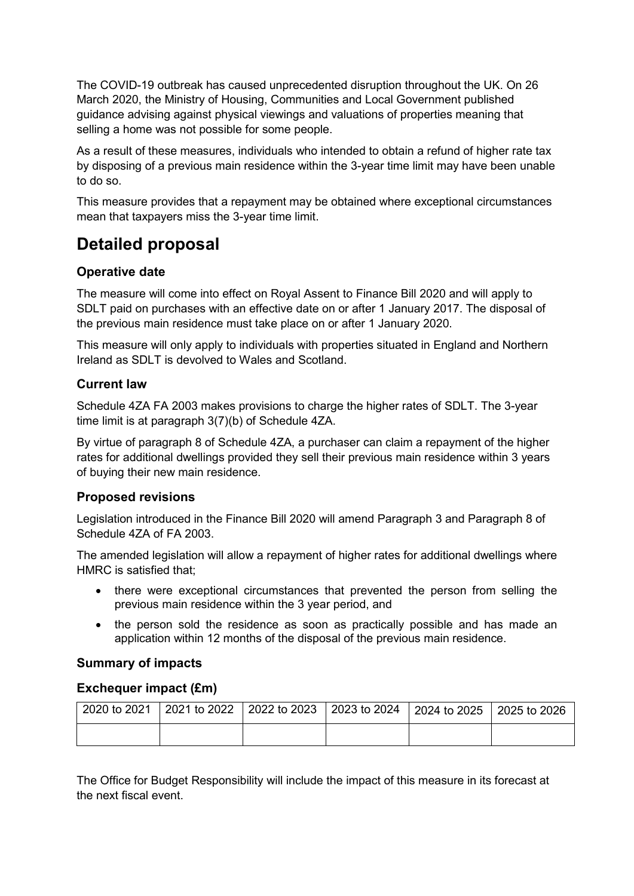The COVID-19 outbreak has caused unprecedented disruption throughout the UK. On 26 March 2020, the Ministry of Housing, Communities and Local Government published guidance advising against physical viewings and valuations of properties meaning that selling a home was not possible for some people.

As a result of these measures, individuals who intended to obtain a refund of higher rate tax by disposing of a previous main residence within the 3-year time limit may have been unable to do so.

This measure provides that a repayment may be obtained where exceptional circumstances mean that taxpayers miss the 3-year time limit.

## **Detailed proposal**

## **Operative date**

The measure will come into effect on Royal Assent to Finance Bill 2020 and will apply to SDLT paid on purchases with an effective date on or after 1 January 2017. The disposal of the previous main residence must take place on or after 1 January 2020.

This measure will only apply to individuals with properties situated in England and Northern Ireland as SDLT is devolved to Wales and Scotland.

## **Current law**

Schedule 4ZA FA 2003 makes provisions to charge the higher rates of SDLT. The 3-year time limit is at paragraph 3(7)(b) of Schedule 4ZA.

By virtue of paragraph 8 of Schedule 4ZA, a purchaser can claim a repayment of the higher rates for additional dwellings provided they sell their previous main residence within 3 years of buying their new main residence.

## **Proposed revisions**

Legislation introduced in the Finance Bill 2020 will amend Paragraph 3 and Paragraph 8 of Schedule 4ZA of FA 2003.

The amended legislation will allow a repayment of higher rates for additional dwellings where HMRC is satisfied that;

- there were exceptional circumstances that prevented the person from selling the previous main residence within the 3 year period, and
- the person sold the residence as soon as practically possible and has made an application within 12 months of the disposal of the previous main residence.

## **Summary of impacts**

#### **Exchequer impact (£m)**

| $2020$ to 2021 | 2021 to 2022 2022 to 2023 2023 to 2024 2024 to 2025 2025 to 2026 |  |  |
|----------------|------------------------------------------------------------------|--|--|
|                |                                                                  |  |  |

The Office for Budget Responsibility will include the impact of this measure in its forecast at the next fiscal event.